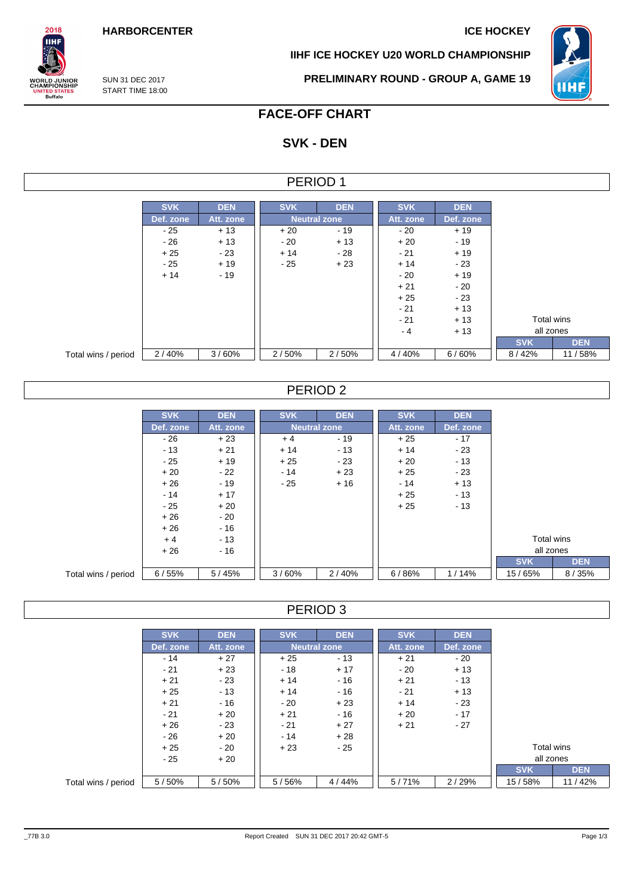**IIHF ICE HOCKEY U20 WORLD CHAMPIONSHIP**



SUN 31 DEC 2017 START TIME 18:00

 $2018$ IІHI

**ORLD JUNIOR**<br>HAMPIONSHIP

**IITED STATES**<br>Buffalo

**PRELIMINARY ROUND - GROUP A, GAME 19**

# **FACE-OFF CHART**

# **SVK - DEN**

### PERIOD 1

|                     | <b>SVK</b> | <b>DEN</b> | <b>SVK</b> | <b>DEN</b>          | <b>SVK</b> | <b>DEN</b> |            |  |
|---------------------|------------|------------|------------|---------------------|------------|------------|------------|--|
|                     |            |            |            |                     |            |            |            |  |
|                     | Def. zone  | Att. zone  |            | <b>Neutral zone</b> | Att. zone  | Def. zone  |            |  |
|                     | - 25       | $+13$      | $+20$      | $-19$               | $-20$      | $+19$      |            |  |
|                     | $-26$      | $+13$      | $-20$      | $+13$               | $+20$      | $-19$      |            |  |
|                     | $+25$      | $-23$      | $+14$      | - 28                | $-21$      | $+19$      |            |  |
|                     | $-25$      | $+19$      | $-25$      | $+23$               | $+14$      | $-23$      |            |  |
|                     | $+14$      | $-19$      |            |                     | $-20$      | $+19$      |            |  |
|                     |            |            |            |                     | $+21$      | $-20$      |            |  |
|                     |            |            |            |                     | $+25$      | $-23$      |            |  |
|                     |            |            |            |                     | $-21$      | $+13$      |            |  |
|                     |            |            |            |                     | $-21$      | $+13$      | Total wins |  |
|                     |            |            |            |                     | $-4$       | $+13$      | all zones  |  |
|                     |            |            |            |                     |            |            | <b>SVK</b> |  |
| Total wins / period | 2/40%      | 3/60%      | 2/50%      | 2/50%               | 4/40%      | 6/60%      | 8/42%      |  |

## PERIOD 2

|                     | <b>SVK</b> | <b>DEN</b> | <b>SVK</b> | <b>DEN</b>          | <b>SVK</b> | <b>DEN</b> |            |            |
|---------------------|------------|------------|------------|---------------------|------------|------------|------------|------------|
|                     | Def. zone  | Att. zone  |            | <b>Neutral zone</b> | Att. zone  | Def. zone  |            |            |
|                     | $-26$      | $+23$      | $+4$       | $-19$               | $+25$      | $-17$      |            |            |
|                     | $-13$      | $+21$      | $+14$      | $-13$               | $+14$      | $-23$      |            |            |
|                     | $-25$      | $+19$      | $+25$      | $-23$               | $+20$      | $-13$      |            |            |
|                     | $+20$      | $-22$      | $-14$      | $+23$               | $+25$      | $-23$      |            |            |
|                     | $+26$      | $-19$      | $-25$      | $+16$               | - 14       | $+13$      |            |            |
|                     | $-14$      | $+17$      |            |                     | $+25$      | $-13$      |            |            |
|                     | - 25       | $+20$      |            |                     | $+25$      | $-13$      |            |            |
|                     | $+26$      | $-20$      |            |                     |            |            |            |            |
|                     | $+26$      | $-16$      |            |                     |            |            |            |            |
|                     | $+4$       | $-13$      |            |                     |            |            | Total wins |            |
|                     | $+26$      | $-16$      |            |                     |            |            | all zones  |            |
|                     |            |            |            |                     |            |            | <b>SVK</b> | <b>DEN</b> |
| Total wins / period | 6/55%      | 5/45%      | 3/60%      | 2/40%               | 6/86%      | 1/14%      | 15/65%     | 8/35%      |

PERIOD 3

|                     | <b>SVK</b> | <b>DEN</b> | <b>SVK</b> | <b>DEN</b>          | <b>SVK</b> | <b>DEN</b> |            |            |
|---------------------|------------|------------|------------|---------------------|------------|------------|------------|------------|
|                     | Def. zone  | Att. zone  |            | <b>Neutral zone</b> | Att. zone  | Def. zone  |            |            |
|                     | $-14$      | $+27$      | $+25$      | $-13$               | $+21$      | $-20$      |            |            |
|                     | $-21$      | $+23$      | $-18$      | $+17$               | $-20$      | $+13$      |            |            |
|                     | $+21$      | $-23$      | $+14$      | - 16                | $+21$      | $-13$      |            |            |
|                     | $+25$      | $-13$      | $+14$      | $-16$               | $-21$      | $+13$      |            |            |
|                     | $+21$      | $-16$      | $-20$      | $+23$               | $+14$      | - 23       |            |            |
|                     | $-21$      | $+20$      | $+21$      | - 16                | $+20$      | $-17$      |            |            |
|                     | $+26$      | $-23$      | $-21$      | $+27$               | $+21$      | $-27$      |            |            |
|                     | $-26$      | $+20$      | $-14$      | $+28$               |            |            |            |            |
|                     | $+25$      | - 20       | $+23$      | - 25                |            |            | Total wins |            |
|                     | $-25$      | $+20$      |            |                     |            |            | all zones  |            |
|                     |            |            |            |                     |            |            | <b>SVK</b> | <b>DEN</b> |
| Total wins / period | 5/50%      | 5/50%      | 5/56%      | 4/44%               | 5/71%      | 2/29%      | 15/58%     | 11/42%     |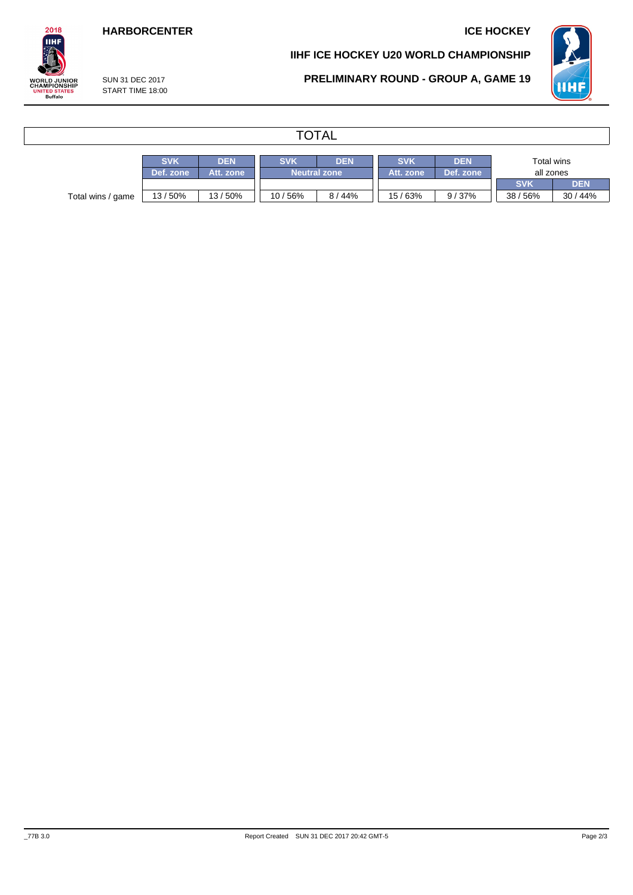## **HARBORCENTER ICE HOCKEY**

### **IIHF ICE HOCKEY U20 WORLD CHAMPIONSHIP**



SUN 31 DEC 2017 START TIME 18:00 **PRELIMINARY ROUND - GROUP A, GAME 19**



# **TOTAL**

|                   | <b>SVK</b> | <b>DEN</b> | <b>SVK</b><br><b>DEN</b> |                     | <b>SVK</b> | <b>DEN</b> |            | Total wins |  |  |
|-------------------|------------|------------|--------------------------|---------------------|------------|------------|------------|------------|--|--|
|                   | Def. zone  | Att. zone  |                          | <b>Neutral zone</b> | Att. zone  | Def. zone  | all zones  |            |  |  |
|                   |            |            |                          |                     |            |            | <b>SVK</b> | DEN        |  |  |
| Total wins / game | 13/50%     | 13/50%     | 10/56%                   | $44\%$<br>8/        | 15/63%     | 9/37%      | 38/56%     | 30/44%     |  |  |